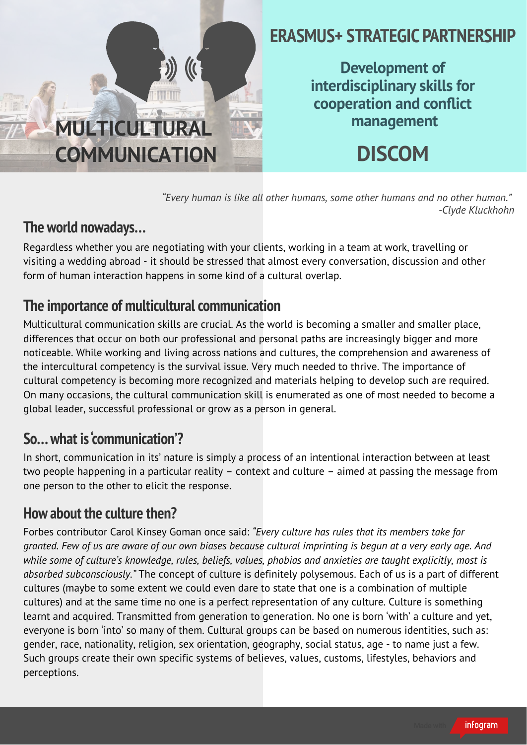

*"Every human is like all other humans, some other humans and no other human." -Clyde Kluckhohn*

## **The world nowadays…**

Regardless whether you are negotiating with your clients, working in a team at work, travelling or visiting a wedding abroad - it should be stressed that almost every conversation, discussion and other form of human interaction happens in some kind of a cultural overlap.

### **The importance of multicultural communication**

Multicultural communication skills are crucial. As the world is becoming a smaller and smaller place, differences that occur on both our professional and personal paths are increasingly bigger and more noticeable. While working and living across nations and cultures, the comprehension and awareness of the intercultural competency is the survival issue. Very much needed to thrive. The importance of cultural competency is becoming more recognized and materials helping to develop such are required. On many occasions, the cultural communication skill is enumerated as one of most needed to become a global leader, successful professional or grow as a person in general.

#### **So…what is communication'? '**

In short, communication in its' nature is simply a process of an intentional interaction between at least two people happening in a particular reality – context and culture – aimed at passing the message from one person to the other to elicit the response.

### **How about the culture then?**

Forbes contributor Carol Kinsey Goman once said: *"Every culture has rules that its members take for* granted. Few of us are aware of our own biases because cultural imprinting is begun at a very early age. And *while some of culture's knowledge, rules, beliefs, values, phobias and anxieties are taught explicitly, most is absorbed subconsciously."* The concept of culture is definitely polysemous. Each of us is a part of different cultures (maybe to some extent we could even dare to state that one is a combination of multiple cultures) and at the same time no one is a perfect representation of any culture. Culture is something learnt and acquired. Transmitted from generation to generation. No one is born 'with' a culture and yet, everyone is born 'into' so many of them. Cultural groups can be based on numerous identities, such as: gender, race, nationality, religion, sex orientation, geography, social status, age - to name just a few. Such groups create their own specific systems of believes, values, customs, lifestyles, behaviors and perceptions.